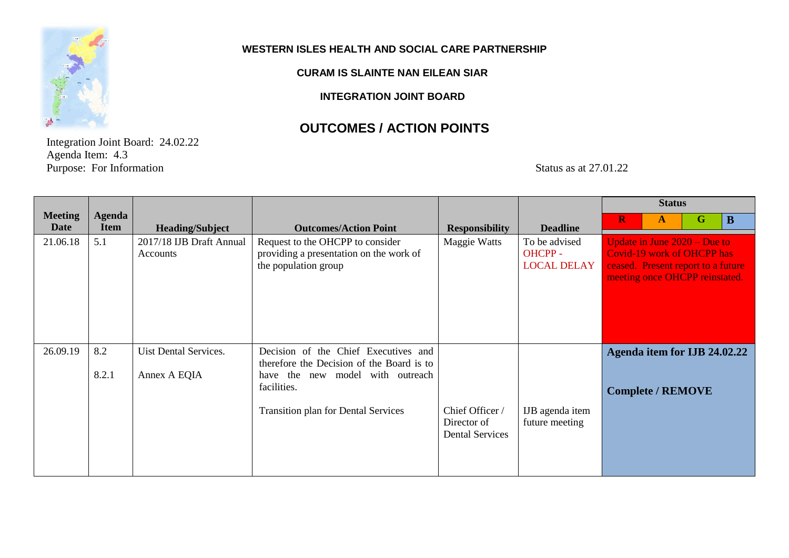

#### **WESTERN ISLES HEALTH AND SOCIAL CARE PARTNERSHIP**

### **CURAM IS SLAINTE NAN EILEAN SIAR**

**INTEGRATION JOINT BOARD**

### **OUTCOMES / ACTION POINTS**

Integration Joint Board: 24.02.22 Agenda Item: 4.3 Purpose: For Information Status as at 27.01.22

|                               |                              |                                       |                                                                                                                                                                                       |                                                          |                                               | <b>Status</b>                                                                                                                               |
|-------------------------------|------------------------------|---------------------------------------|---------------------------------------------------------------------------------------------------------------------------------------------------------------------------------------|----------------------------------------------------------|-----------------------------------------------|---------------------------------------------------------------------------------------------------------------------------------------------|
| <b>Meeting</b><br><b>Date</b> | <b>Agenda</b><br><b>Item</b> | <b>Heading/Subject</b>                | <b>Outcomes/Action Point</b>                                                                                                                                                          | <b>Responsibility</b>                                    | <b>Deadline</b>                               | $\mathbf R$<br>$\mathbf G$<br>$\mathbf{B}$<br>$\mathbf{A}$                                                                                  |
| 21.06.18                      | 5.1                          | 2017/18 IJB Draft Annual<br>Accounts  | Request to the OHCPP to consider<br>providing a presentation on the work of<br>the population group                                                                                   | Maggie Watts                                             | To be advised<br>OHCPP-<br><b>LOCAL DELAY</b> | Update in June $2020 - Due to$<br><b>Covid-19 work of OHCPP has</b><br>ceased. Present report to a future<br>meeting once OHCPP reinstated. |
| 26.09.19                      | 8.2<br>8.2.1                 | Uist Dental Services.<br>Annex A EQIA | Decision of the Chief Executives and<br>therefore the Decision of the Board is to<br>new model with outreach<br>have the<br>facilities.<br><b>Transition plan for Dental Services</b> | Chief Officer /<br>Director of<br><b>Dental Services</b> | IJB agenda item<br>future meeting             | Agenda item for IJB 24.02.22<br><b>Complete / REMOVE</b>                                                                                    |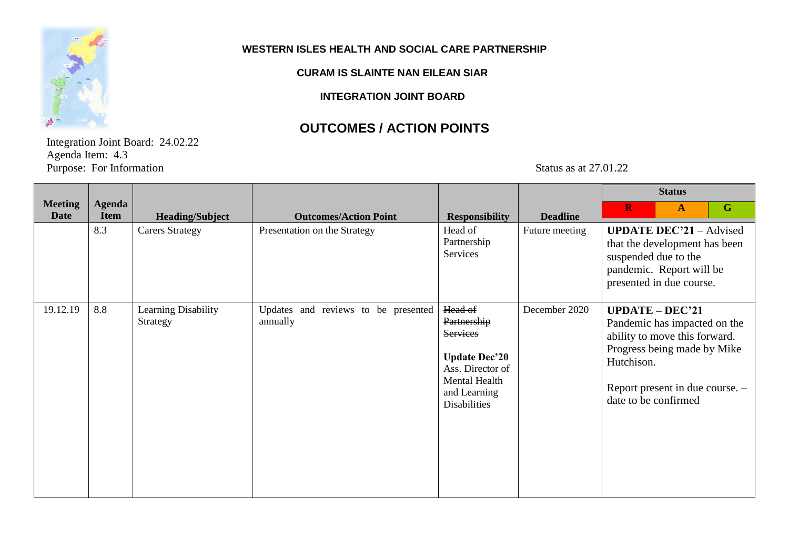

#### **WESTERN ISLES HEALTH AND SOCIAL CARE PARTNERSHIP**

#### **CURAM IS SLAINTE NAN EILEAN SIAR**

**INTEGRATION JOINT BOARD**

# **OUTCOMES / ACTION POINTS**

Integration Joint Board: 24.02.22 Agenda Item: 4.3 Purpose: For Information Status as at 27.01.22

|                               |                              |                                 |                                                 | <b>Status</b>                                                                                                                                 |                 |                                    |                                                                                                                                                      |             |
|-------------------------------|------------------------------|---------------------------------|-------------------------------------------------|-----------------------------------------------------------------------------------------------------------------------------------------------|-----------------|------------------------------------|------------------------------------------------------------------------------------------------------------------------------------------------------|-------------|
| <b>Meeting</b><br><b>Date</b> | <b>Agenda</b><br><b>Item</b> | <b>Heading/Subject</b>          | <b>Outcomes/Action Point</b>                    | <b>Responsibility</b>                                                                                                                         | <b>Deadline</b> | $\mathbf R$                        | $\mathbf{A}$                                                                                                                                         | $\mathbf G$ |
|                               | 8.3                          | <b>Carers Strategy</b>          | Presentation on the Strategy                    | Head of<br>Partnership<br>Services                                                                                                            | Future meeting  |                                    | <b>UPDATE DEC'21</b> – Advised<br>that the development has been<br>suspended due to the<br>pandemic. Report will be<br>presented in due course.      |             |
| 19.12.19                      | 8.8                          | Learning Disability<br>Strategy | Updates and reviews to be presented<br>annually | Head of<br>Partnership<br><b>Services</b><br><b>Update Dec'20</b><br>Ass. Director of<br>Mental Health<br>and Learning<br><b>Disabilities</b> | December 2020   | Hutchison.<br>date to be confirmed | $UPDATE - DEC'21$<br>Pandemic has impacted on the<br>ability to move this forward.<br>Progress being made by Mike<br>Report present in due course. - |             |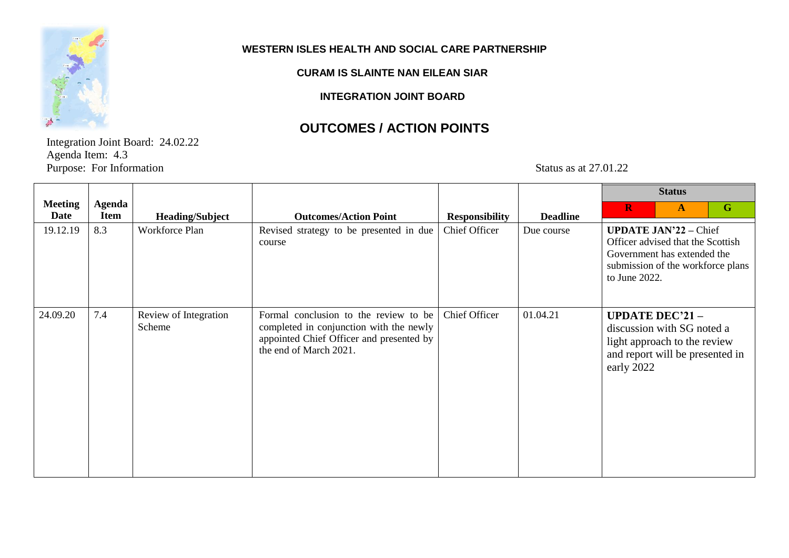

 $\mathbf{r}$ 

#### **WESTERN ISLES HEALTH AND SOCIAL CARE PARTNERSHIP**

#### **CURAM IS SLAINTE NAN EILEAN SIAR**

**INTEGRATION JOINT BOARD**

## **OUTCOMES / ACTION POINTS**

Integration Joint Board: 24.02.22 Agenda Item: 4.3 Purpose: For Information Status as at 27.01.22

|                        |                              |                                 |                                                                                                                                                        |                       |                 |                                                                                                   | <b>Status</b> |                                                                        |
|------------------------|------------------------------|---------------------------------|--------------------------------------------------------------------------------------------------------------------------------------------------------|-----------------------|-----------------|---------------------------------------------------------------------------------------------------|---------------|------------------------------------------------------------------------|
| <b>Meeting</b><br>Date | <b>Agenda</b><br><b>Item</b> | <b>Heading/Subject</b>          | <b>Outcomes/Action Point</b>                                                                                                                           | <b>Responsibility</b> | <b>Deadline</b> | $\mathbf R$                                                                                       | $\mathbf{A}$  | $\mathbf G$                                                            |
| 19.12.19               | 8.3                          | Workforce Plan                  | Revised strategy to be presented in due<br>course                                                                                                      | Chief Officer         | Due course      | <b>UPDATE JAN'22 - Chief</b><br>Government has extended the<br>to June 2022.                      |               | Officer advised that the Scottish<br>submission of the workforce plans |
| 24.09.20               | 7.4                          | Review of Integration<br>Scheme | Formal conclusion to the review to be<br>completed in conjunction with the newly<br>appointed Chief Officer and presented by<br>the end of March 2021. | Chief Officer         | 01.04.21        | <b>UPDATE DEC'21-</b><br>discussion with SG noted a<br>light approach to the review<br>early 2022 |               | and report will be presented in                                        |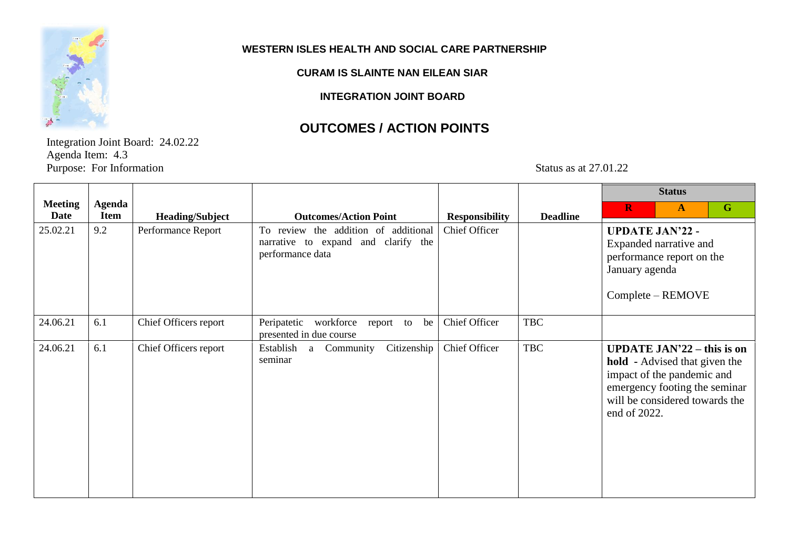

#### **WESTERN ISLES HEALTH AND SOCIAL CARE PARTNERSHIP**

#### **CURAM IS SLAINTE NAN EILEAN SIAR**

**INTEGRATION JOINT BOARD**

## **OUTCOMES / ACTION POINTS**

Integration Joint Board: 24.02.22 Agenda Item: 4.3 Purpose: For Information Status as at 27.01.22

|                        |                              |                        |                                                                                                 |                       |                 | <b>Status</b>                                                                                                                                                                              |
|------------------------|------------------------------|------------------------|-------------------------------------------------------------------------------------------------|-----------------------|-----------------|--------------------------------------------------------------------------------------------------------------------------------------------------------------------------------------------|
| <b>Meeting</b><br>Date | <b>Agenda</b><br><b>Item</b> | <b>Heading/Subject</b> | <b>Outcomes/Action Point</b>                                                                    | <b>Responsibility</b> | <b>Deadline</b> | $\mathbf G$<br>$\mathbf R$<br>$\mathbf{A}$                                                                                                                                                 |
| 25.02.21               | 9.2                          | Performance Report     | To review the addition of additional<br>narrative to expand and clarify the<br>performance data | <b>Chief Officer</b>  |                 | <b>UPDATE JAN'22 -</b><br>Expanded narrative and<br>performance report on the<br>January agenda<br>Complete – REMOVE                                                                       |
| 24.06.21               | 6.1                          | Chief Officers report  | Peripatetic workforce<br>report to be<br>presented in due course                                | Chief Officer         | <b>TBC</b>      |                                                                                                                                                                                            |
| 24.06.21               | 6.1                          | Chief Officers report  | Citizenship<br>Establish a<br>Community<br>seminar                                              | Chief Officer         | <b>TBC</b>      | <b>UPDATE JAN'22 – this is on</b><br><b>hold</b> - Advised that given the<br>impact of the pandemic and<br>emergency footing the seminar<br>will be considered towards the<br>end of 2022. |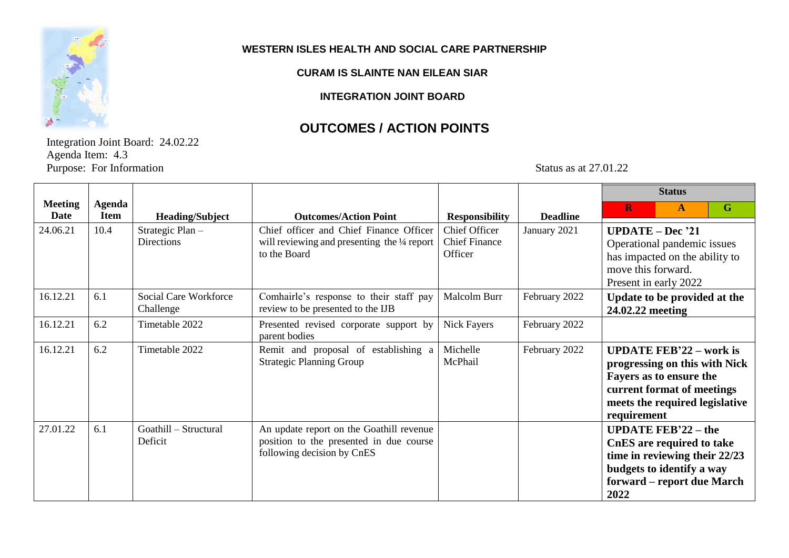

 $\Gamma$ 

#### **WESTERN ISLES HEALTH AND SOCIAL CARE PARTNERSHIP**

#### **CURAM IS SLAINTE NAN EILEAN SIAR**

**INTEGRATION JOINT BOARD**

### **OUTCOMES / ACTION POINTS**

Integration Joint Board: 24.02.22 Agenda Item: 4.3 Purpose: For Information Status as at 27.01.22

|                        |                       |                                       |                                                                                                                   |                                                         |                 | <b>Status</b>                                                                                                                                                             |
|------------------------|-----------------------|---------------------------------------|-------------------------------------------------------------------------------------------------------------------|---------------------------------------------------------|-----------------|---------------------------------------------------------------------------------------------------------------------------------------------------------------------------|
| <b>Meeting</b><br>Date | Agenda<br><b>Item</b> | <b>Heading/Subject</b>                | <b>Outcomes/Action Point</b>                                                                                      | <b>Responsibility</b>                                   | <b>Deadline</b> | G<br>$\bf R$<br>$\mathbf{A}$                                                                                                                                              |
| 24.06.21               | 10.4                  | Strategic Plan -<br><b>Directions</b> | Chief officer and Chief Finance Officer<br>will reviewing and presenting the 1/4 report<br>to the Board           | <b>Chief Officer</b><br><b>Chief Finance</b><br>Officer | January 2021    | $UPDATE - Dec '21$<br>Operational pandemic issues<br>has impacted on the ability to<br>move this forward.<br>Present in early 2022                                        |
| 16.12.21               | 6.1                   | Social Care Workforce<br>Challenge    | Comhairle's response to their staff pay<br>review to be presented to the IJB                                      | Malcolm Burr                                            | February 2022   | Update to be provided at the<br>24.02.22 meeting                                                                                                                          |
| 16.12.21               | 6.2                   | Timetable 2022                        | Presented revised corporate support by<br>parent bodies                                                           | <b>Nick Fayers</b>                                      | February 2022   |                                                                                                                                                                           |
| 16.12.21               | 6.2                   | Timetable 2022                        | Remit and proposal of establishing a<br><b>Strategic Planning Group</b>                                           | Michelle<br>McPhail                                     | February 2022   | <b>UPDATE FEB'22 – work is</b><br>progressing on this with Nick<br>Fayers as to ensure the<br>current format of meetings<br>meets the required legislative<br>requirement |
| 27.01.22               | 6.1                   | Goathill - Structural<br>Deficit      | An update report on the Goathill revenue<br>position to the presented in due course<br>following decision by CnES |                                                         |                 | <b>UPDATE FEB'22 - the</b><br>CnES are required to take<br>time in reviewing their 22/23<br>budgets to identify a way<br>forward – report due March<br>2022               |